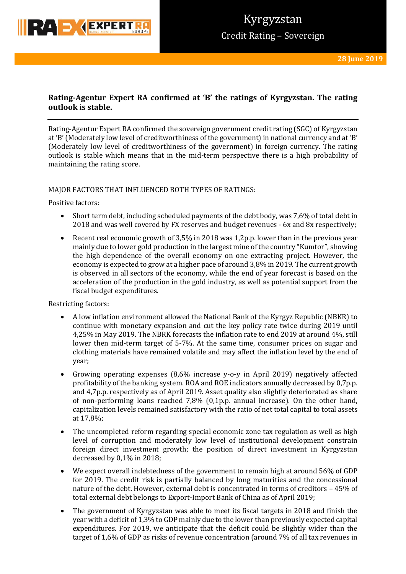

## **Rating-Agentur Expert RA confirmed at 'B' the ratings of Kyrgyzstan. The rating outlook is stable.**

Rating-Agentur Expert RA confirmed the sovereign government credit rating (SGC) of Kyrgyzstan at 'B' (Moderately low level of creditworthiness of the government) in national currency and at 'B' (Moderately low level of creditworthiness of the government) in foreign currency. The rating outlook is stable which means that in the mid-term perspective there is a high probability of maintaining the rating score.

### MAJOR FACTORS THAT INFLUENCED BOTH TYPES OF RATINGS:

Positive factors:

- Short term debt, including scheduled payments of the debt body, was 7,6% of total debt in 2018 and was well covered by FX reserves and budget revenues - 6x and 8x respectively;
- Recent real economic growth of 3,5% in 2018 was 1,2p.p. lower than in the previous year mainly due to lower gold production in the largest mine of the country "Kumtor", showing the high dependence of the overall economy on one extracting project. However, the economy is expected to grow at a higher pace of around 3,8% in 2019. The current growth is observed in all sectors of the economy, while the end of year forecast is based on the acceleration of the production in the gold industry, as well as potential support from the fiscal budget expenditures.

Restricting factors:

- A low inflation environment allowed the National Bank of the Kyrgyz Republic (NBKR) to continue with monetary expansion and cut the key policy rate twice during 2019 until 4,25% in May 2019. The NBRK forecasts the inflation rate to end 2019 at around 4%, still lower then mid-term target of 5-7%. At the same time, consumer prices on sugar and clothing materials have remained volatile and may affect the inflation level by the end of year;
- Growing operating expenses (8,6% increase y-o-y in April 2019) negatively affected profitability of the banking system. ROA and ROE indicators annually decreased by 0,7p.p. and 4,7p.p. respectively as of April 2019. Asset quality also slightly deteriorated as share of non-performing loans reached 7,8% (0,1p.p. annual increase). On the other hand, capitalization levels remained satisfactory with the ratio of net total capital to total assets at 17,8%;
- The uncompleted reform regarding special economic zone tax regulation as well as high level of corruption and moderately low level of institutional development constrain foreign direct investment growth; the position of direct investment in Kyrgyzstan decreased by 0,1% in 2018;
- We expect overall indebtedness of the government to remain high at around 56% of GDP for 2019. The credit risk is partially balanced by long maturities and the concessional nature of the debt. However, external debt is concentrated in terms of creditors – 45% of total external debt belongs to Export-Import Bank of China as of April 2019;
- The government of Kyrgyzstan was able to meet its fiscal targets in 2018 and finish the year with a deficit of 1,3% to GDP mainly due to the lower than previously expected capital expenditures. For 2019, we anticipate that the deficit could be slightly wider than the target of 1,6% of GDP as risks of revenue concentration (around 7% of all tax revenues in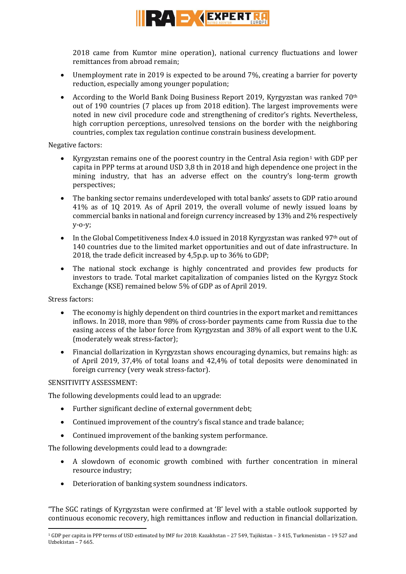

2018 came from Kumtor mine operation), national currency fluctuations and lower remittances from abroad remain;

- Unemployment rate in 2019 is expected to be around 7%, creating a barrier for poverty reduction, especially among younger population;
- According to the World Bank Doing Business Report 2019, Kyrgyzstan was ranked  $70<sup>th</sup>$ out of 190 countries (7 places up from 2018 edition). The largest improvements were noted in new civil procedure code and strengthening of creditor's rights. Nevertheless, high corruption perceptions, unresolved tensions on the border with the neighboring countries, complex tax regulation continue constrain business development.

Negative factors:

- Kyrgyzstan remains one of the poorest country in the Central Asia region<sup>1</sup> with GDP per capita in PPP terms at around USD 3,8 th in 2018 and high dependence one project in the mining industry, that has an adverse effect on the country's long-term growth perspectives;
- The banking sector remains underdeveloped with total banks' assets to GDP ratio around 41% as of 1Q 2019. As of April 2019, the overall volume of newly issued loans by commercial banks in national and foreign currency increased by 13% and 2% respectively y-o-y;
- $\bullet$  In the Global Competitiveness Index 4.0 issued in 2018 Kyrgyzstan was ranked 97<sup>th</sup> out of 140 countries due to the limited market opportunities and out of date infrastructure. In 2018, the trade deficit increased by 4,5p.p. up to 36% to GDP;
- The national stock exchange is highly concentrated and provides few products for investors to trade. Total market capitalization of companies listed on the Kyrgyz Stock Exchange (KSE) remained below 5% of GDP as of April 2019.

Stress factors:

- The economy is highly dependent on third countries in the export market and remittances inflows. In 2018, more than 98% of cross-border payments came from Russia due to the easing access of the labor force from Kyrgyzstan and 38% of all export went to the U.K. (moderately weak stress-factor);
- Financial dollarization in Kyrgyzstan shows encouraging dynamics, but remains high: as of April 2019, 37,4% of total loans and 42,4% of total deposits were denominated in foreign currency (very weak stress-factor).

SENSITIVITY ASSESSMENT:

The following developments could lead to an upgrade:

- Further significant decline of external government debt;
- Continued improvement of the country's fiscal stance and trade balance;
- Continued improvement of the banking system performance.

The following developments could lead to a downgrade:

- A slowdown of economic growth combined with further concentration in mineral resource industry;
- Deterioration of banking system soundness indicators.

"The SGC ratings of Kyrgyzstan were confirmed at 'B' level with a stable outlook supported by continuous economic recovery, high remittances inflow and reduction in financial dollarization.

**<sup>.</sup>** <sup>1</sup> GDP per capita in PPP terms of USD estimated by IMF for 2018: Kazakhstan – 27 549, Tajikistan – 3 415, Turkmenistan – 19 527 and Uzbekistan – 7 665.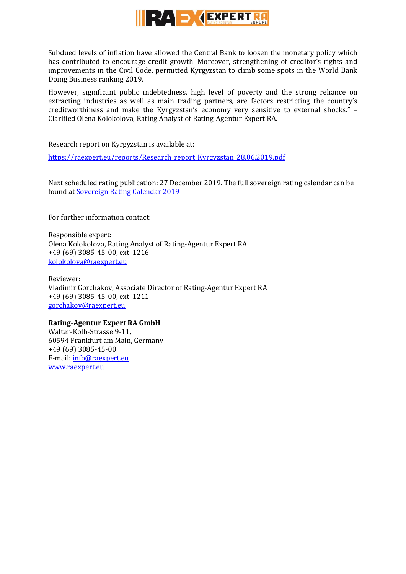

Subdued levels of inflation have allowed the Central Bank to loosen the monetary policy which has contributed to encourage credit growth. Moreover, strengthening of creditor's rights and improvements in the Civil Code, permitted Kyrgyzstan to climb some spots in the World Bank Doing Business ranking 2019.

However, significant public indebtedness, high level of poverty and the strong reliance on extracting industries as well as main trading partners, are factors restricting the country's creditworthiness and make the Kyrgyzstan's economy very sensitive to external shocks." – Clarified Olena Kolokolova, Rating Analyst of Rating-Agentur Expert RA.

Research report on Kyrgyzstan is available at:

[https://raexpert.eu/reports/Research\\_report\\_Kyrgyzstan\\_28.06.2019.pdf](https://raexpert.eu/reports/Research_report_Kyrgyzstan_28.06.2019.pdf)

Next scheduled rating publication: 27 December 2019. The full sovereign rating calendar can be found at [Sovereign Rating Calendar 2019](https://raexpert.eu/sovereign/#conf-tab-5)

For further information contact:

Responsible expert: Olena Kolokolova, Rating Analyst of Rating-Agentur Expert RA +49 (69) 3085-45-00, ext. 1216 [kolokolova@raexpert.eu](mailto:kolokolova@raexpert.eu)

Reviewer: Vladimir Gorchakov, Associate Director of Rating-Agentur Expert RA +49 (69) 3085-45-00, ext. 1211 [gorchakov@raexpert.eu](mailto:gorchakov@raexpert.eu)

### **Rating-Agentur Expert RA GmbH**

Walter-Kolb-Strasse 9-11, 60594 Frankfurt am Main, Germany +49 (69) 3085-45-00 E-mail[: info@raexpert.eu](mailto:info@raexpert.eu) [www.raexpert.eu](http://raexpert.eu/)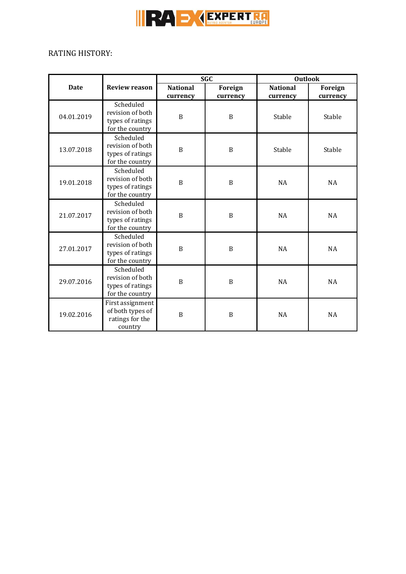

# RATING HISTORY:

|             |                                                                      | <b>SGC</b>                  |                     | <b>Outlook</b>              |                     |
|-------------|----------------------------------------------------------------------|-----------------------------|---------------------|-----------------------------|---------------------|
| <b>Date</b> | <b>Review reason</b>                                                 | <b>National</b><br>currency | Foreign<br>currency | <b>National</b><br>currency | Foreign<br>currency |
| 04.01.2019  | Scheduled<br>revision of both<br>types of ratings<br>for the country | B                           | B                   | Stable                      | Stable              |
| 13.07.2018  | Scheduled<br>revision of both<br>types of ratings<br>for the country | $\mathbf B$                 | $\, {\bf B}$        | Stable                      | Stable              |
| 19.01.2018  | Scheduled<br>revision of both<br>types of ratings<br>for the country | B                           | $\, {\bf B}$        | NA                          | NA                  |
| 21.07.2017  | Scheduled<br>revision of both<br>types of ratings<br>for the country | $\boldsymbol{B}$            | B                   | <b>NA</b>                   | <b>NA</b>           |
| 27.01.2017  | Scheduled<br>revision of both<br>types of ratings<br>for the country | $\mathbf B$                 | $\, {\bf B}$        | <b>NA</b>                   | NA                  |
| 29.07.2016  | Scheduled<br>revision of both<br>types of ratings<br>for the country | $\boldsymbol{B}$            | $\boldsymbol{B}$    | NA                          | NA                  |
| 19.02.2016  | First assignment<br>of both types of<br>ratings for the<br>country   | $\boldsymbol{B}$            | $\boldsymbol{B}$    | <b>NA</b>                   | NA                  |